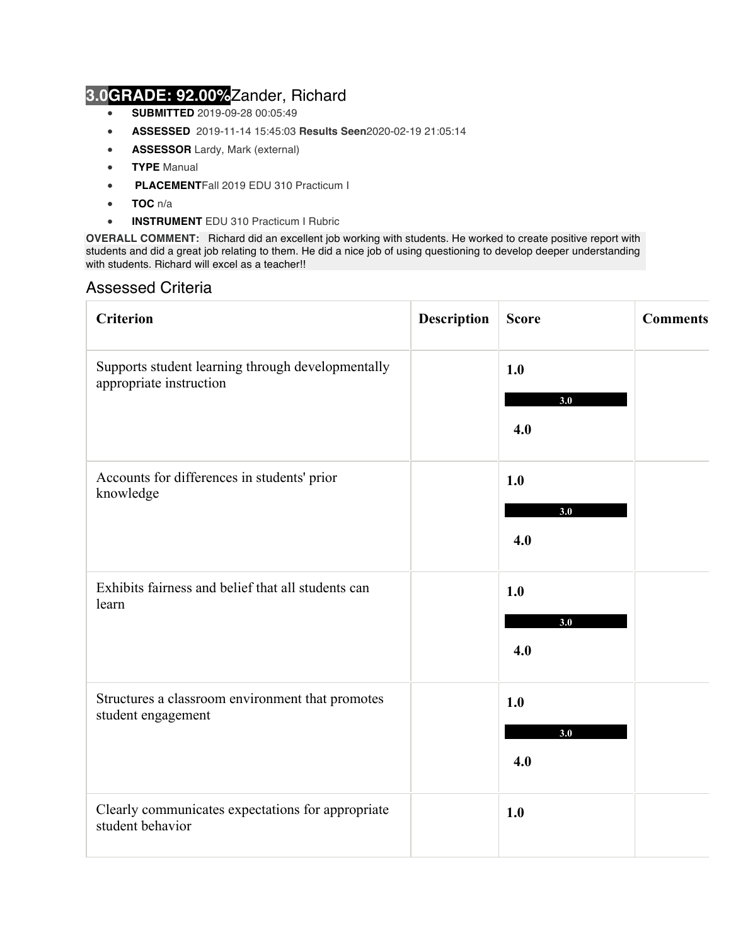## **3.0GRADE: 92.00%**Zander, Richard

- **SUBMITTED** 2019-09-28 00:05:49
- **ASSESSED** 2019-11-14 15:45:03 **Results Seen**2020-02-19 21:05:14
- **ASSESSOR** Lardy, Mark (external)
- **TYPE** Manual
- **PLACEMENT**Fall 2019 EDU 310 Practicum I
- **TOC** n/a
- **INSTRUMENT** EDU 310 Practicum I Rubric

**OVERALL COMMENT:** Richard did an excellent job working with students. He worked to create positive report with students and did a great job relating to them. He did a nice job of using questioning to develop deeper understanding with students. Richard will excel as a teacher!!

## Assessed Criteria

| <b>Criterion</b>                                                             | <b>Description</b> | <b>Score</b>      | <b>Comments</b> |
|------------------------------------------------------------------------------|--------------------|-------------------|-----------------|
| Supports student learning through developmentally<br>appropriate instruction |                    | 1.0<br>3.0<br>4.0 |                 |
| Accounts for differences in students' prior<br>knowledge                     |                    | 1.0<br>3.0<br>4.0 |                 |
| Exhibits fairness and belief that all students can<br>learn                  |                    | 1.0<br>3.0<br>4.0 |                 |
| Structures a classroom environment that promotes<br>student engagement       |                    | 1.0<br>3.0<br>4.0 |                 |
| Clearly communicates expectations for appropriate<br>student behavior        |                    | 1.0               |                 |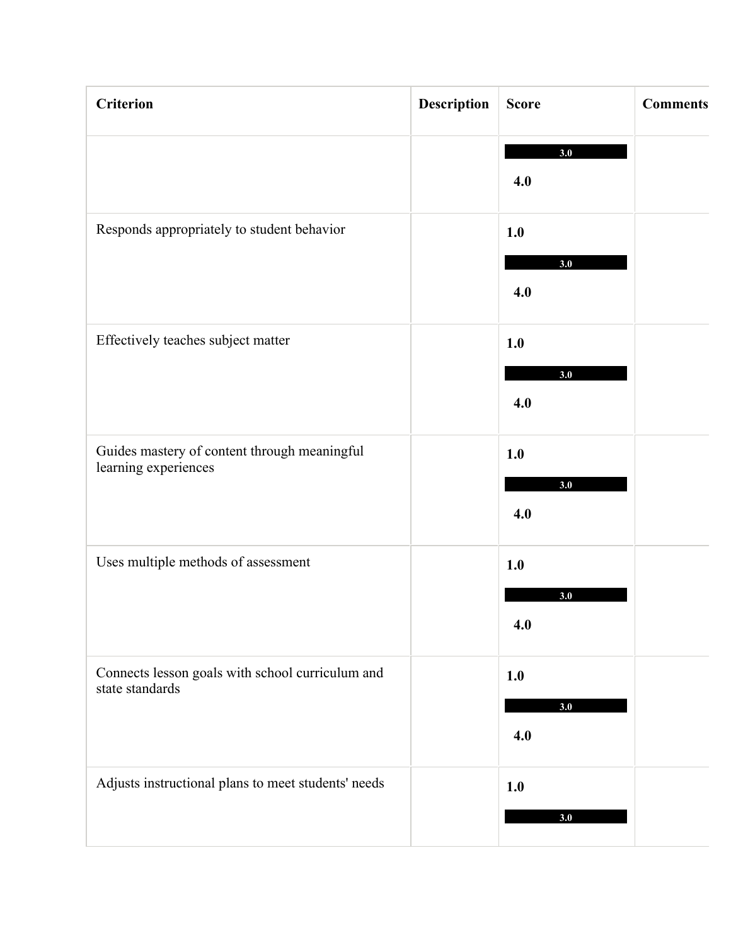| <b>Criterion</b>                                                     | <b>Description</b> | <b>Score</b>      | <b>Comments</b> |
|----------------------------------------------------------------------|--------------------|-------------------|-----------------|
|                                                                      |                    | 3.0<br>4.0        |                 |
| Responds appropriately to student behavior                           |                    | 1.0<br>3.0<br>4.0 |                 |
| Effectively teaches subject matter                                   |                    | 1.0<br>3.0<br>4.0 |                 |
| Guides mastery of content through meaningful<br>learning experiences |                    | 1.0<br>3.0<br>4.0 |                 |
| Uses multiple methods of assessment                                  |                    | 1.0<br>3.0<br>4.0 |                 |
| Connects lesson goals with school curriculum and<br>state standards  |                    | 1.0<br>3.0<br>4.0 |                 |
| Adjusts instructional plans to meet students' needs                  |                    | 1.0<br>3.0        |                 |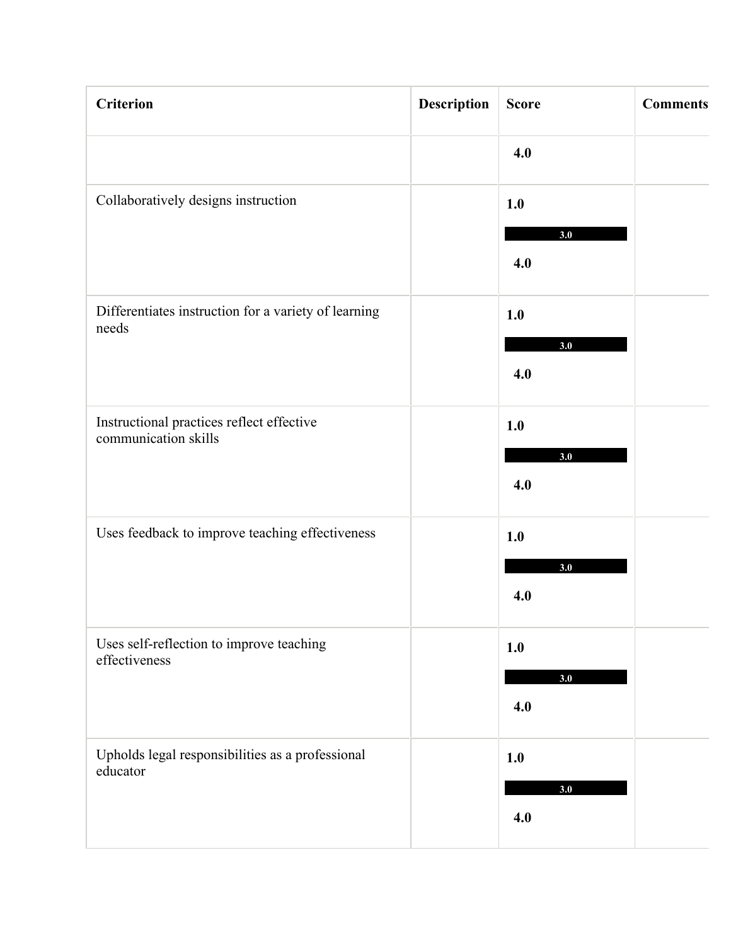| <b>Criterion</b>                                                  | <b>Description</b> | <b>Score</b> | <b>Comments</b> |
|-------------------------------------------------------------------|--------------------|--------------|-----------------|
|                                                                   |                    | 4.0          |                 |
| Collaboratively designs instruction                               |                    | 1.0          |                 |
|                                                                   |                    | 3.0<br>4.0   |                 |
| Differentiates instruction for a variety of learning<br>needs     |                    | 1.0          |                 |
|                                                                   |                    | 3.0<br>4.0   |                 |
| Instructional practices reflect effective<br>communication skills |                    | 1.0          |                 |
|                                                                   |                    | 3.0<br>4.0   |                 |
| Uses feedback to improve teaching effectiveness                   |                    | 1.0          |                 |
|                                                                   |                    | 3.0<br>4.0   |                 |
| Uses self-reflection to improve teaching<br>effectiveness         |                    | 1.0          |                 |
|                                                                   |                    | 3.0<br>4.0   |                 |
| Upholds legal responsibilities as a professional<br>educator      |                    | 1.0          |                 |
|                                                                   |                    | 3.0<br>4.0   |                 |